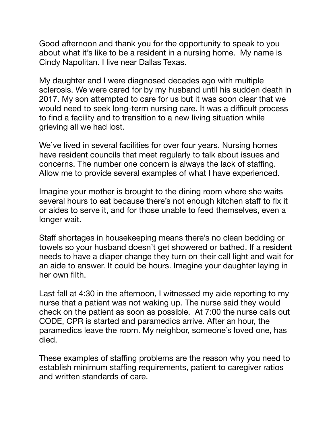Good afternoon and thank you for the opportunity to speak to you about what it's like to be a resident in a nursing home. My name is Cindy Napolitan. I live near Dallas Texas.

My daughter and I were diagnosed decades ago with multiple sclerosis. We were cared for by my husband until his sudden death in 2017. My son attempted to care for us but it was soon clear that we would need to seek long-term nursing care. It was a difficult process to find a facility and to transition to a new living situation while grieving all we had lost.

We've lived in several facilities for over four years. Nursing homes have resident councils that meet regularly to talk about issues and concerns. The number one concern is always the lack of staffing. Allow me to provide several examples of what I have experienced.

Imagine your mother is brought to the dining room where she waits several hours to eat because there's not enough kitchen staff to fix it or aides to serve it, and for those unable to feed themselves, even a longer wait.

Staff shortages in housekeeping means there's no clean bedding or towels so your husband doesn't get showered or bathed. If a resident needs to have a diaper change they turn on their call light and wait for an aide to answer. It could be hours. Imagine your daughter laying in her own filth.

Last fall at 4:30 in the afternoon, I witnessed my aide reporting to my nurse that a patient was not waking up. The nurse said they would check on the patient as soon as possible. At 7:00 the nurse calls out CODE, CPR is started and paramedics arrive. After an hour, the paramedics leave the room. My neighbor, someone's loved one, has died.

These examples of staffing problems are the reason why you need to establish minimum staffing requirements, patient to caregiver ratios and written standards of care.